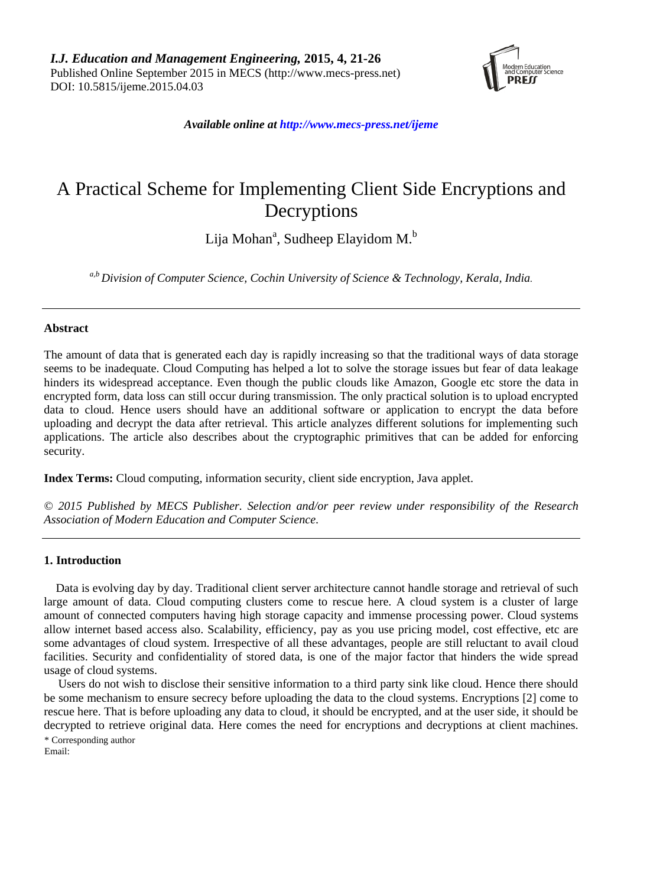

*Available online at http://www.mecs-press.net/ijeme*

# A Practical Scheme for Implementing Client Side Encryptions and Decryptions

Lija Mohan<sup>a</sup>, Sudheep Elayidom M.<sup>b</sup>

*a,b Division of Computer Science, Cochin University of Science & Technology, Kerala, India.*

## **Abstract**

The amount of data that is generated each day is rapidly increasing so that the traditional ways of data storage seems to be inadequate. Cloud Computing has helped a lot to solve the storage issues but fear of data leakage hinders its widespread acceptance. Even though the public clouds like Amazon, Google etc store the data in encrypted form, data loss can still occur during transmission. The only practical solution is to upload encrypted data to cloud. Hence users should have an additional software or application to encrypt the data before uploading and decrypt the data after retrieval. This article analyzes different solutions for implementing such applications. The article also describes about the cryptographic primitives that can be added for enforcing security.

**Index Terms:** Cloud computing, information security, client side encryption, Java applet.

*© 2015 Published by MECS Publisher. Selection and/or peer review under responsibility of the Research Association of Modern Education and Computer Science.*

## **1. Introduction**

Data is evolving day by day. Traditional client server architecture cannot handle storage and retrieval of such large amount of data. Cloud computing clusters come to rescue here. A cloud system is a cluster of large amount of connected computers having high storage capacity and immense processing power. Cloud systems allow internet based access also. Scalability, efficiency, pay as you use pricing model, cost effective, etc are some advantages of cloud system. Irrespective of all these advantages, people are still reluctant to avail cloud facilities. Security and confidentiality of stored data, is one of the major factor that hinders the wide spread usage of cloud systems.

Users do not wish to disclose their sensitive information to a third party sink like cloud. Hence there should be some mechanism to ensure secrecy before uploading the data to the cloud systems. Encryptions [2] come to rescue here. That is before uploading any data to cloud, it should be encrypted, and at the user side, it should be decrypted to retrieve original data. Here comes the need for encryptions and decryptions at client machines. \* Corresponding author Email: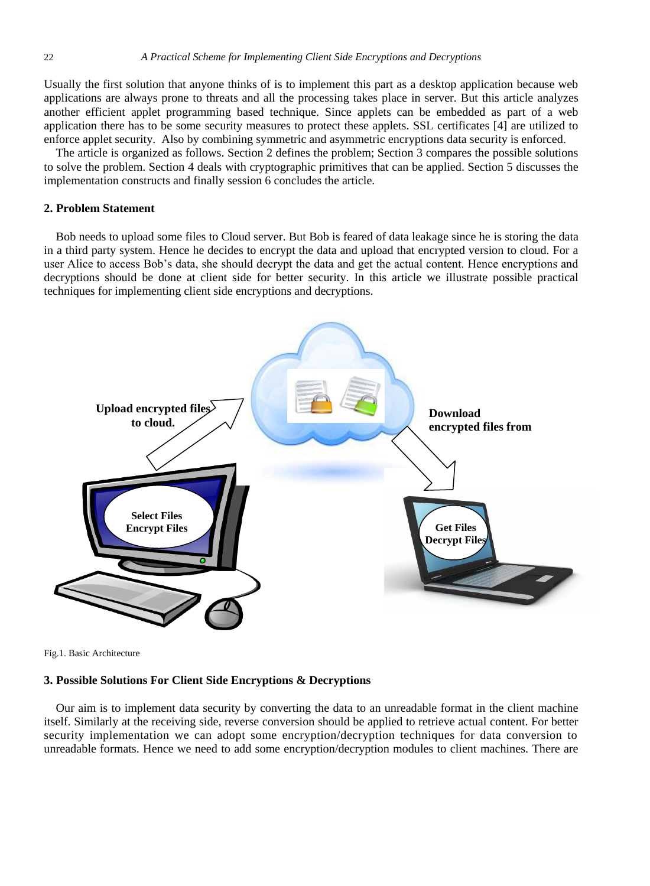Usually the first solution that anyone thinks of is to implement this part as a desktop application because web applications are always prone to threats and all the processing takes place in server. But this article analyzes another efficient applet programming based technique. Since applets can be embedded as part of a web application there has to be some security measures to protect these applets. SSL certificates [4] are utilized to enforce applet security. Also by combining symmetric and asymmetric encryptions data security is enforced.

The article is organized as follows. Section 2 defines the problem; Section 3 compares the possible solutions to solve the problem. Section 4 deals with cryptographic primitives that can be applied. Section 5 discusses the implementation constructs and finally session 6 concludes the article.

# **2. Problem Statement**

Bob needs to upload some files to Cloud server. But Bob is feared of data leakage since he is storing the data in a third party system. Hence he decides to encrypt the data and upload that encrypted version to cloud. For a user Alice to access Bob's data, she should decrypt the data and get the actual content. Hence encryptions and decryptions should be done at client side for better security. In this article we illustrate possible practical techniques for implementing client side encryptions and decryptions.



Fig.1. Basic Architecture

# **3. Possible Solutions For Client Side Encryptions & Decryptions**

Our aim is to implement data security by converting the data to an unreadable format in the client machine itself. Similarly at the receiving side, reverse conversion should be applied to retrieve actual content. For better security implementation we can adopt some encryption/decryption techniques for data conversion to unreadable formats. Hence we need to add some encryption/decryption modules to client machines. There are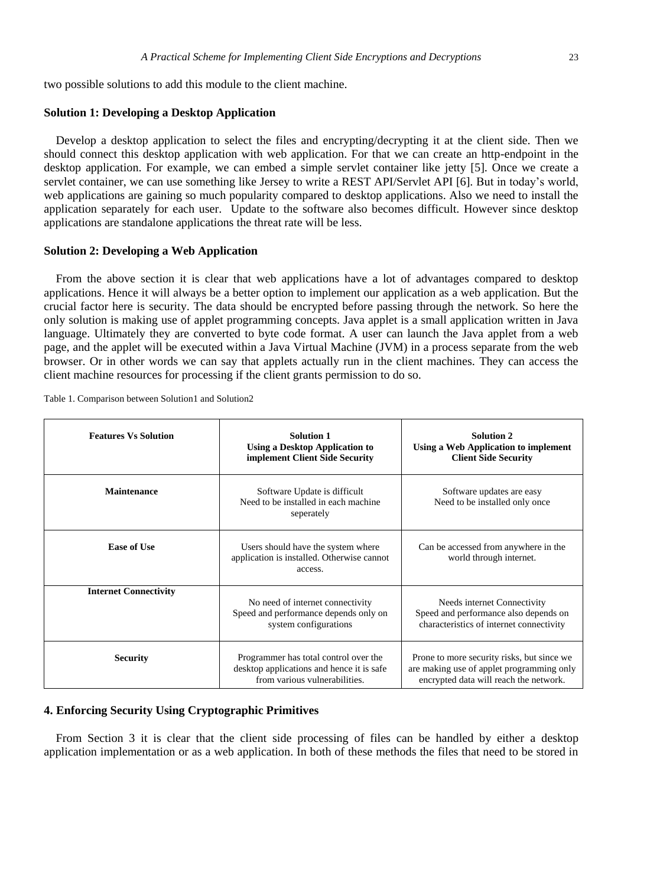two possible solutions to add this module to the client machine.

#### **Solution 1: Developing a Desktop Application**

Develop a desktop application to select the files and encrypting/decrypting it at the client side. Then we should connect this desktop application with web application. For that we can create an http-endpoint in the desktop application. For example, we can embed a simple servlet container like jetty [5]. Once we create a servlet container, we can use something like Jersey to write a REST API/Servlet API [6]. But in today's world, web applications are gaining so much popularity compared to desktop applications. Also we need to install the application separately for each user. Update to the software also becomes difficult. However since desktop applications are standalone applications the threat rate will be less.

#### **Solution 2: Developing a Web Application**

From the above section it is clear that web applications have a lot of advantages compared to desktop applications. Hence it will always be a better option to implement our application as a web application. But the crucial factor here is security. The data should be encrypted before passing through the network. So here the only solution is making use of applet programming concepts. Java applet is a small application written in Java language. Ultimately they are converted to byte code format. A user can launch the Java applet from a web page, and the applet will be executed within a Java Virtual Machine (JVM) in a process separate from the web browser. Or in other words we can say that applets actually run in the client machines. They can access the client machine resources for processing if the client grants permission to do so.

| <b>Features Vs Solution</b>  | <b>Solution 1</b><br><b>Using a Desktop Application to</b><br>implement Client Side Security                         | <b>Solution 2</b><br>Using a Web Application to implement<br><b>Client Side Security</b>                                          |
|------------------------------|----------------------------------------------------------------------------------------------------------------------|-----------------------------------------------------------------------------------------------------------------------------------|
| Maintenance                  | Software Update is difficult<br>Need to be installed in each machine<br>seperately                                   | Software updates are easy<br>Need to be installed only once                                                                       |
| Ease of Use                  | Users should have the system where<br>application is installed. Otherwise cannot<br>access.                          | Can be accessed from anywhere in the<br>world through internet.                                                                   |
| <b>Internet Connectivity</b> | No need of internet connectivity<br>Speed and performance depends only on<br>system configurations                   | Needs internet Connectivity<br>Speed and performance also depends on<br>characteristics of internet connectivity                  |
| <b>Security</b>              | Programmer has total control over the<br>desktop applications and hence it is safe.<br>from various vulnerabilities. | Prone to more security risks, but since we<br>are making use of applet programming only<br>encrypted data will reach the network. |

Table 1. Comparison between Solution1 and Solution2

# **4. Enforcing Security Using Cryptographic Primitives**

From Section 3 it is clear that the client side processing of files can be handled by either a desktop application implementation or as a web application. In both of these methods the files that need to be stored in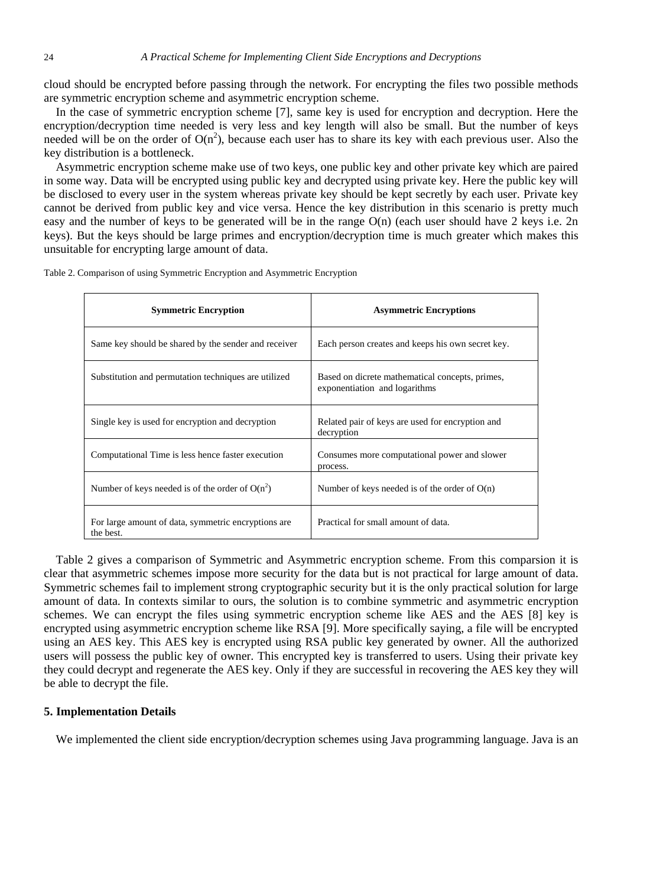cloud should be encrypted before passing through the network. For encrypting the files two possible methods are symmetric encryption scheme and asymmetric encryption scheme.

In the case of symmetric encryption scheme [7], same key is used for encryption and decryption. Here the encryption/decryption time needed is very less and key length will also be small. But the number of keys needed will be on the order of  $O(n^2)$ , because each user has to share its key with each previous user. Also the key distribution is a bottleneck.

Asymmetric encryption scheme make use of two keys, one public key and other private key which are paired in some way. Data will be encrypted using public key and decrypted using private key. Here the public key will be disclosed to every user in the system whereas private key should be kept secretly by each user. Private key cannot be derived from public key and vice versa. Hence the key distribution in this scenario is pretty much easy and the number of keys to be generated will be in the range O(n) (each user should have 2 keys i.e. 2n keys). But the keys should be large primes and encryption/decryption time is much greater which makes this unsuitable for encrypting large amount of data.

| <b>Symmetric Encryption</b>                                      | <b>Asymmetric Encryptions</b>                                                    |
|------------------------------------------------------------------|----------------------------------------------------------------------------------|
| Same key should be shared by the sender and receiver             | Each person creates and keeps his own secret key.                                |
| Substitution and permutation techniques are utilized             | Based on dicrete mathematical concepts, primes,<br>exponentiation and logarithms |
| Single key is used for encryption and decryption                 | Related pair of keys are used for encryption and<br>decryption                   |
| Computational Time is less hence faster execution                | Consumes more computational power and slower<br>process.                         |
| Number of keys needed is of the order of $O(n^2)$                | Number of keys needed is of the order of $O(n)$                                  |
| For large amount of data, symmetric encryptions are<br>the best. | Practical for small amount of data.                                              |

Table 2. Comparison of using Symmetric Encryption and Asymmetric Encryption

Table 2 gives a comparison of Symmetric and Asymmetric encryption scheme. From this comparsion it is clear that asymmetric schemes impose more security for the data but is not practical for large amount of data. Symmetric schemes fail to implement strong cryptographic security but it is the only practical solution for large amount of data. In contexts similar to ours, the solution is to combine symmetric and asymmetric encryption schemes. We can encrypt the files using symmetric encryption scheme like AES and the AES [8] key is encrypted using asymmetric encryption scheme like RSA [9]. More specifically saying, a file will be encrypted using an AES key. This AES key is encrypted using RSA public key generated by owner. All the authorized users will possess the public key of owner. This encrypted key is transferred to users. Using their private key they could decrypt and regenerate the AES key. Only if they are successful in recovering the AES key they will be able to decrypt the file.

### **5. Implementation Details**

We implemented the client side encryption/decryption schemes using Java programming language. Java is an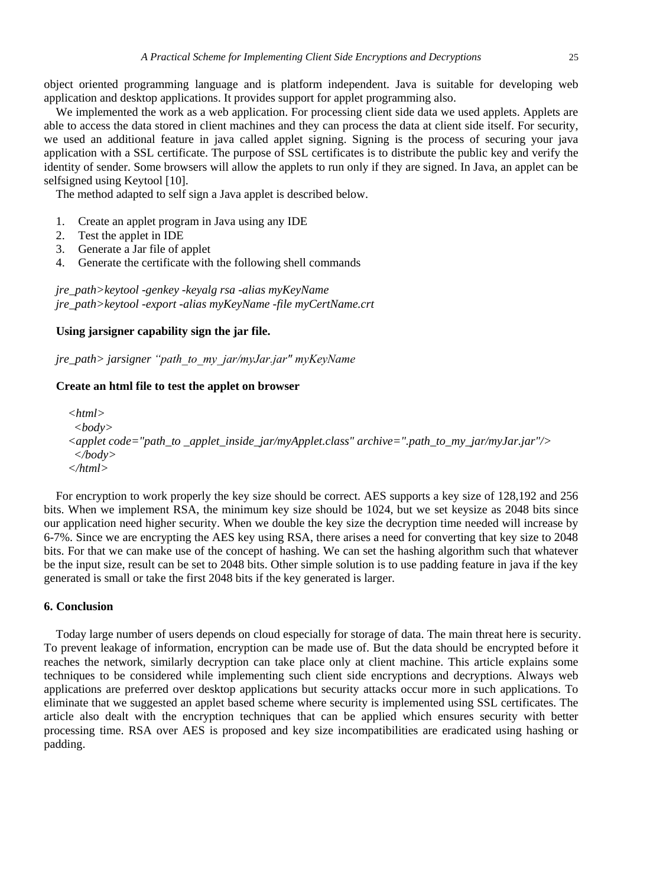object oriented programming language and is platform independent. Java is suitable for developing web application and desktop applications. It provides support for applet programming also.

We implemented the work as a web application. For processing client side data we used applets. Applets are able to access the data stored in client machines and they can process the data at client side itself. For security, we used an additional feature in java called applet signing. Signing is the process of securing your java application with a SSL certificate. The purpose of SSL certificates is to distribute the public key and verify the identity of sender. Some browsers will allow the applets to run only if they are signed. In Java, an applet can be selfsigned using Keytool [10].

The method adapted to self sign a Java applet is described below.

- 1. Create an applet program in Java using any IDE
- 2. Test the applet in IDE
- 3. Generate a Jar file of applet
- 4. Generate the certificate with the following shell commands

*jre\_path>keytool -genkey -keyalg rsa -alias myKeyName jre\_path>keytool -export -alias myKeyName -file myCertName.crt*

### **Using jarsigner capability sign the jar file.**

*jre\_path> jarsigner "path\_to\_my\_jar/myJar.jar" myKeyName*

#### **Create an html file to test the applet on browser**

*<html> <body> <applet code="path\_to \_applet\_inside\_jar/myApplet.class" archive=".path\_to\_my\_jar/myJar.jar"/> </body> </html>*

For encryption to work properly the key size should be correct. AES supports a key size of 128,192 and 256 bits. When we implement RSA, the minimum key size should be 1024, but we set keysize as 2048 bits since our application need higher security. When we double the key size the decryption time needed will increase by 6-7%. Since we are encrypting the AES key using RSA, there arises a need for converting that key size to 2048 bits. For that we can make use of the concept of hashing. We can set the hashing algorithm such that whatever be the input size, result can be set to 2048 bits. Other simple solution is to use padding feature in java if the key generated is small or take the first 2048 bits if the key generated is larger.

### **6. Conclusion**

Today large number of users depends on cloud especially for storage of data. The main threat here is security. To prevent leakage of information, encryption can be made use of. But the data should be encrypted before it reaches the network, similarly decryption can take place only at client machine. This article explains some techniques to be considered while implementing such client side encryptions and decryptions. Always web applications are preferred over desktop applications but security attacks occur more in such applications. To eliminate that we suggested an applet based scheme where security is implemented using SSL certificates. The article also dealt with the encryption techniques that can be applied which ensures security with better processing time. RSA over AES is proposed and key size incompatibilities are eradicated using hashing or padding.